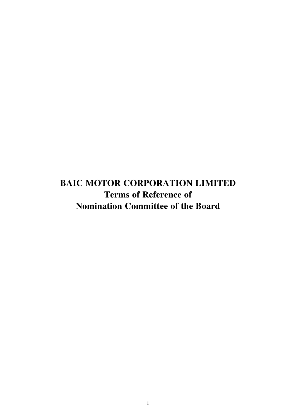**BAIC MOTOR CORPORATION LIMITED Terms of Reference of Nomination Committee of the Board**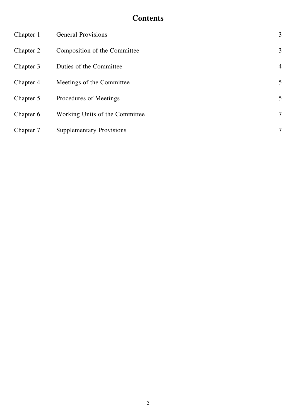# **Contents**

| Chapter 1 | <b>General Provisions</b>       | 3              |
|-----------|---------------------------------|----------------|
| Chapter 2 | Composition of the Committee    | 3              |
| Chapter 3 | Duties of the Committee         | $\overline{4}$ |
| Chapter 4 | Meetings of the Committee       | 5              |
| Chapter 5 | Procedures of Meetings          | 5              |
| Chapter 6 | Working Units of the Committee  | $\tau$         |
| Chapter 7 | <b>Supplementary Provisions</b> | $\tau$         |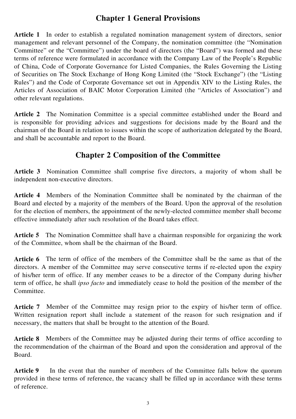## **Chapter 1 General Provisions**

**Article 1** In order to establish a regulated nomination management system of directors, senior management and relevant personnel of the Company, the nomination committee (the "Nomination Committee" or the "Committee") under the board of directors (the "Board") was formed and these terms of reference were formulated in accordance with the Company Law of the People's Republic of China, Code of Corporate Governance for Listed Companies, the Rules Governing the Listing of Securities on The Stock Exchange of Hong Kong Limited (the "Stock Exchange") (the "Listing Rules") and the Code of Corporate Governance set out in Appendix XIV to the Listing Rules, the Articles of Association of BAIC Motor Corporation Limited (the "Articles of Association") and other relevant regulations.

**Article 2** The Nomination Committee is a special committee established under the Board and is responsible for providing advices and suggestions for decisions made by the Board and the chairman of the Board in relation to issues within the scope of authorization delegated by the Board, and shall be accountable and report to the Board.

## **Chapter 2 Composition of the Committee**

**Article 3** Nomination Committee shall comprise five directors, a majority of whom shall be independent non-executive directors.

**Article 4** Members of the Nomination Committee shall be nominated by the chairman of the Board and elected by a majority of the members of the Board. Upon the approval of the resolution for the election of members, the appointment of the newly-elected committee member shall become effective immediately after such resolution of the Board takes effect.

**Article 5** The Nomination Committee shall have a chairman responsible for organizing the work of the Committee, whom shall be the chairman of the Board.

**Article 6** The term of office of the members of the Committee shall be the same as that of the directors. A member of the Committee may serve consecutive terms if re-elected upon the expiry of his/her term of office. If any member ceases to be a director of the Company during his/her term of office, he shall *ipso facto* and immediately cease to hold the position of the member of the Committee.

Article 7 Member of the Committee may resign prior to the expiry of his/her term of office. Written resignation report shall include a statement of the reason for such resignation and if necessary, the matters that shall be brought to the attention of the Board.

Article 8 Members of the Committee may be adjusted during their terms of office according to the recommendation of the chairman of the Board and upon the consideration and approval of the Board.

**Article 9** In the event that the number of members of the Committee falls below the quorum provided in these terms of reference, the vacancy shall be filled up in accordance with these terms of reference.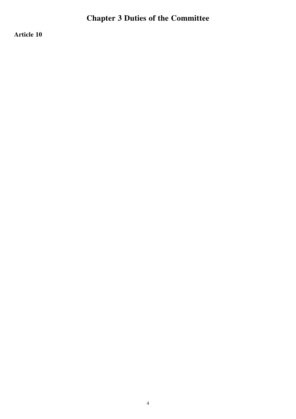# **Chapter 3 Duties of the Committee**

**Article 10**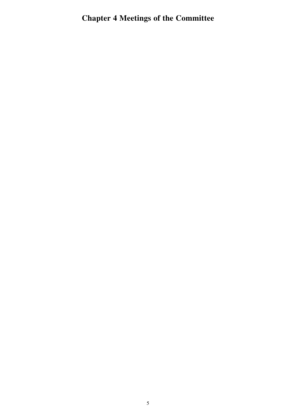# **Chapter 4 Meetings of the Committee**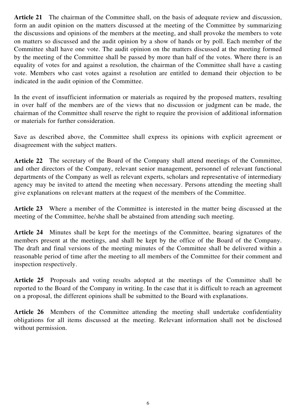**Article 21** The chairman of the Committee shall, on the basis of adequate review and discussion, form an audit opinion on the matters discussed at the meeting of the Committee by summarizing the discussions and opinions of the members at the meeting, and shall provoke the members to vote on matters so discussed and the audit opinion by a show of hands or by poll. Each member of the Committee shall have one vote. The audit opinion on the matters discussed at the meeting formed by the meeting of the Committee shall be passed by more than half of the votes. Where there is an equality of votes for and against a resolution, the chairman of the Committee shall have a casting vote. Members who cast votes against a resolution are entitled to demand their objection to be indicated in the audit opinion of the Committee.

In the event of insufficient information or materials as required by the proposed matters, resulting in over half of the members are of the views that no discussion or judgment can be made, the chairman of the Committee shall reserve the right to require the provision of additional information or materials for further consideration.

Save as described above, the Committee shall express its opinions with explicit agreement or disagreement with the subject matters.

**Article 22** The secretary of the Board of the Company shall attend meetings of the Committee, and other directors of the Company, relevant senior management, personnel of relevant functional departments of the Company as well as relevant experts, scholars and representative of intermediary agency may be invited to attend the meeting when necessary. Persons attending the meeting shall give explanations on relevant matters at the request of the members of the Committee.

Article 23 Where a member of the Committee is interested in the matter being discussed at the meeting of the Committee, he/she shall be abstained from attending such meeting.

**Article 24** Minutes shall be kept for the meetings of the Committee, bearing signatures of the members present at the meetings, and shall be kept by the office of the Board of the Company. The draft and final versions of the meeting minutes of the Committee shall be delivered within a reasonable period of time after the meeting to all members of the Committee for their comment and inspection respectively.

**Article 25** Proposals and voting results adopted at the meetings of the Committee shall be reported to the Board of the Company in writing. In the case that it is difficult to reach an agreement on a proposal, the different opinions shall be submitted to the Board with explanations.

**Article 26** Members of the Committee attending the meeting shall undertake confidentiality obligations for all items discussed at the meeting. Relevant information shall not be disclosed without permission.